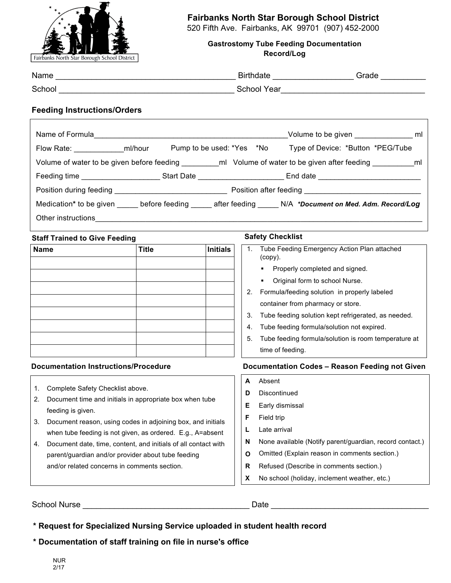

## **Fairbanks North Star Borough School District**

520 Fifth Ave. Fairbanks, AK 99701 (907) 452-2000

**Gastrostomy Tube Feeding Documentation Record/Log** 

| Name   | <b>Birthdate</b>   | Grade |
|--------|--------------------|-------|
| School | <b>School Year</b> |       |

### **Feeding Instructions/Orders**

| Name of Formula and the contract of the contract of the contract of the contract of the contract of the contract of the contract of the contract of the contract of the contract of the contract of the contract of the contra |  |  |  |                                                                                                              |  |
|--------------------------------------------------------------------------------------------------------------------------------------------------------------------------------------------------------------------------------|--|--|--|--------------------------------------------------------------------------------------------------------------|--|
| Flow Rate: ml/hour                                                                                                                                                                                                             |  |  |  | Type of Device: *Button *PEG/Tube                                                                            |  |
|                                                                                                                                                                                                                                |  |  |  |                                                                                                              |  |
|                                                                                                                                                                                                                                |  |  |  |                                                                                                              |  |
|                                                                                                                                                                                                                                |  |  |  |                                                                                                              |  |
|                                                                                                                                                                                                                                |  |  |  | Medication* to be given _____ before feeding _____ after feeding _____ N/A *Document on Med. Adm. Record/Log |  |
| Other instructions                                                                                                                                                                                                             |  |  |  |                                                                                                              |  |

### **Staff Trained to Give Feeding The Safety Checklist**

| <b>Name</b> | <b>Title</b> | <b>Initials</b> |
|-------------|--------------|-----------------|
|             |              |                 |
|             |              |                 |
|             |              |                 |
|             |              |                 |
|             |              |                 |
|             |              |                 |
|             |              |                 |
|             |              |                 |

- 1. Complete Safety Checklist above.
- 2. Document time and initials in appropriate box when tube feeding is given.
- 3. Document reason, using codes in adjoining box, and initials when tube feeding is not given, as ordered. E.g., A=absent
- 4. Document date, time, content, and initials of all contact with parent/guardian and/or provider about tube feeding and/or related concerns in comments section. **R R** Refused (Describe in comments section.)

- 1. Tube Feeding Emergency Action Plan attached (copy). **•** Properly completed and signed. ■ Original form to school Nurse.
- 2. Formula/feeding solution in properly labeled container from pharmacy or store.
- 3. Tube feeding solution kept refrigerated, as needed.
- 4. Tube feeding formula/solution not expired.
- 5. Tube feeding formula/solution is room temperature at time of feeding.

### **Documentation Instructions/Procedure Documentation Codes – Reason Feeding not Given**

| A  | Absent                                                   |
|----|----------------------------------------------------------|
| D  | Discontinued                                             |
| Е. | Early dismissal                                          |
| F. | Field trip                                               |
|    | Late arrival                                             |
| N  | None available (Notify parent/guardian, record contact.) |
| O  | Omitted (Explain reason in comments section.)            |
| R  | Refused (Describe in comments section )                  |

**X** No school (holiday, inclement weather, etc.)

School Nurse \_\_\_\_\_\_\_\_\_\_\_\_\_\_\_\_\_\_\_\_\_\_\_\_\_\_\_\_\_\_\_\_\_\_\_\_\_ Date \_\_\_\_\_\_\_\_\_\_\_\_\_\_\_\_\_\_\_\_\_\_\_\_\_\_\_\_\_\_\_\_\_\_\_

**\* Request for Specialized Nursing Service uploaded in student health record**

**\* Documentation of staff training on file in nurse's office**